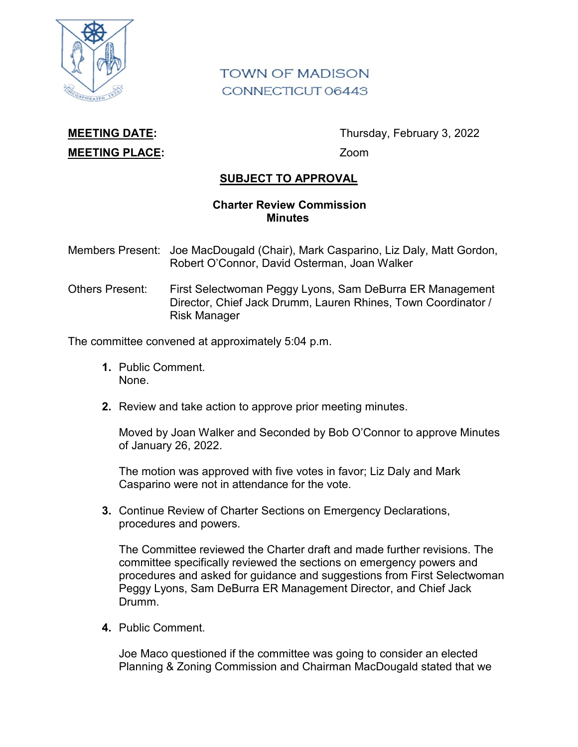

## **TOWN OF MADISON** CONNECTICUT 06443

## **MEETING PLACE:** Zoom

**MEETING DATE:** Thursday, February 3, 2022

## **SUBJECT TO APPROVAL**

## **Charter Review Commission Minutes**

- Members Present: Joe MacDougald (Chair), Mark Casparino, Liz Daly, Matt Gordon, Robert O'Connor, David Osterman, Joan Walker
- Others Present: First Selectwoman Peggy Lyons, Sam DeBurra ER Management Director, Chief Jack Drumm, Lauren Rhines, Town Coordinator / Risk Manager

The committee convened at approximately 5:04 p.m.

- **1.** Public Comment. None.
- **2.** Review and take action to approve prior meeting minutes.

Moved by Joan Walker and Seconded by Bob O'Connor to approve Minutes of January 26, 2022.

The motion was approved with five votes in favor; Liz Daly and Mark Casparino were not in attendance for the vote.

**3.** Continue Review of Charter Sections on Emergency Declarations, procedures and powers.

The Committee reviewed the Charter draft and made further revisions. The committee specifically reviewed the sections on emergency powers and procedures and asked for guidance and suggestions from First Selectwoman Peggy Lyons, Sam DeBurra ER Management Director, and Chief Jack Drumm.

**4.** Public Comment.

Joe Maco questioned if the committee was going to consider an elected Planning & Zoning Commission and Chairman MacDougald stated that we